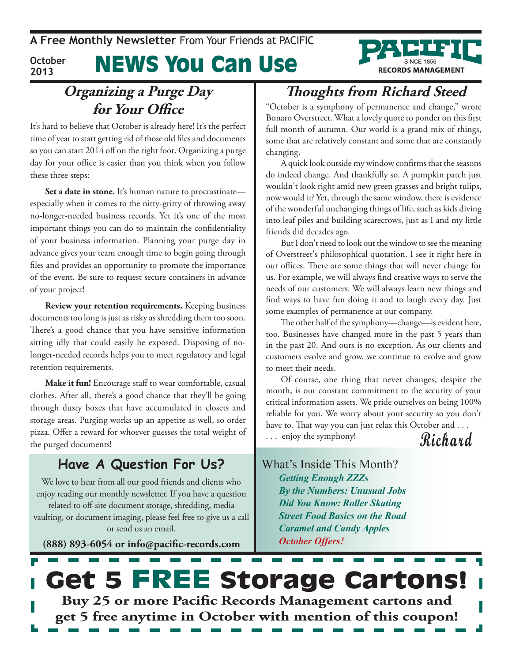News You Can Use **October 2013**



It's hard to believe that October is already here! It's the perfect time of year to start getting rid of those old files and documents so you can start 2014 off on the right foot. Organizing a purge day for your office is easier than you think when you follow these three steps:

**Set a date in stone.** It's human nature to procrastinate especially when it comes to the nitty-gritty of throwing away no-longer-needed business records. Yet it's one of the most important things you can do to maintain the confidentiality of your business information. Planning your purge day in advance gives your team enough time to begin going through files and provides an opportunity to promote the importance of the event. Be sure to request secure containers in advance of your project!

**Review your retention requirements.** Keeping business documents too long is just as risky as shredding them too soon. There's a good chance that you have sensitive information sitting idly that could easily be exposed. Disposing of nolonger-needed records helps you to meet regulatory and legal retention requirements.

**Make it fun!** Encourage staff to wear comfortable, casual clothes. After all, there's a good chance that they'll be going through dusty boxes that have accumulated in closets and storage areas. Purging works up an appetite as well, so order pizza. Offer a reward for whoever guesses the total weight of the purged documents!

#### **Have A Question For Us?**

We love to hear from all our good friends and clients who enjoy reading our monthly newsletter. If you have a question related to off-site document storage, shredding, media vaulting, or document imaging, please feel free to give us a call or send us an email.

**(888) 893-6054 or info@pacific-records.com**

## **Thoughts from Richard Steed**

**RECORDS MANAGEMENT** 

"October is a symphony of permanence and change," wrote Bonaro Overstreet. What a lovely quote to ponder on this first full month of autumn. Our world is a grand mix of things, some that are relatively constant and some that are constantly changing.

A quick look outside my window confirms that the seasons do indeed change. And thankfully so. A pumpkin patch just wouldn't look right amid new green grasses and bright tulips, now would it? Yet, through the same window, there is evidence of the wonderful unchanging things of life, such as kids diving into leaf piles and building scarecrows, just as I and my little friends did decades ago.

But I don't need to look out the window to see the meaning of Overstreet's philosophical quotation. I see it right here in our offices. There are some things that will never change for us. For example, we will always find creative ways to serve the needs of our customers. We will always learn new things and find ways to have fun doing it and to laugh every day. Just some examples of permanence at our company.

The other half of the symphony—change—is evident here, too. Businesses have changed more in the past 5 years than in the past 20. And ours is no exception. As our clients and customers evolve and grow, we continue to evolve and grow to meet their needs.

Of course, one thing that never changes, despite the month, is our constant commitment to the security of your critical information assets. We pride ourselves on being 100% reliable for you. We worry about your security so you don't have to. That way you can just relax this October and . . .

. . . enjoy the symphony!

**Richard**

What's Inside This Month? *Getting Enough ZZZs By the Numbers: Unusual Jobs Did You Know: Roller Skating Street Food Basics on the Road Caramel and Candy Apples October Offers!*

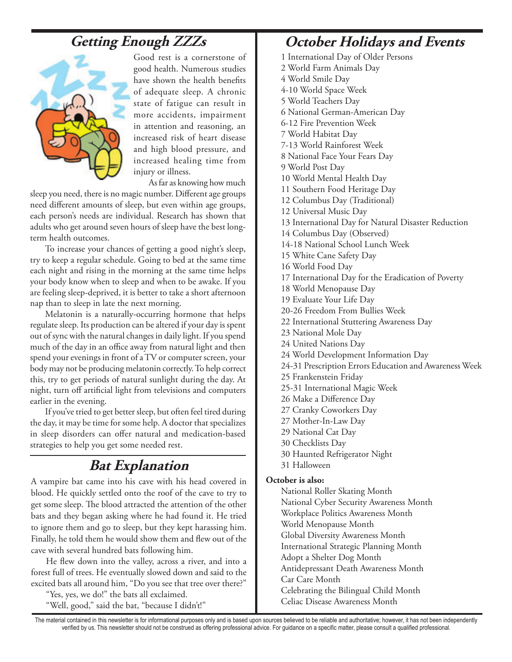### **Getting Enough ZZZs**



Good rest is a cornerstone of good health. Numerous studies have shown the health benefits of adequate sleep. A chronic state of fatigue can result in more accidents, impairment in attention and reasoning, an increased risk of heart disease and high blood pressure, and increased healing time from injury or illness.

As far as knowing how much

sleep you need, there is no magic number. Different age groups need different amounts of sleep, but even within age groups, each person's needs are individual. Research has shown that adults who get around seven hours of sleep have the best longterm health outcomes.

To increase your chances of getting a good night's sleep, try to keep a regular schedule. Going to bed at the same time each night and rising in the morning at the same time helps your body know when to sleep and when to be awake. If you are feeling sleep-deprived, it is better to take a short afternoon nap than to sleep in late the next morning.

Melatonin is a naturally-occurring hormone that helps regulate sleep. Its production can be altered if your day is spent out of sync with the natural changes in daily light. If you spend much of the day in an office away from natural light and then spend your evenings in front of a TV or computer screen, your body may not be producing melatonin correctly. To help correct this, try to get periods of natural sunlight during the day. At night, turn off artificial light from televisions and computers earlier in the evening.

If you've tried to get better sleep, but often feel tired during the day, it may be time for some help. A doctor that specializes in sleep disorders can offer natural and medication-based strategies to help you get some needed rest.

### **Bat Explanation**

A vampire bat came into his cave with his head covered in blood. He quickly settled onto the roof of the cave to try to get some sleep. The blood attracted the attention of the other bats and they began asking where he had found it. He tried to ignore them and go to sleep, but they kept harassing him. Finally, he told them he would show them and flew out of the cave with several hundred bats following him.

He flew down into the valley, across a river, and into a forest full of trees. He eventually slowed down and said to the excited bats all around him, "Do you see that tree over there?"

"Yes, yes, we do!" the bats all exclaimed.

"Well, good," said the bat, "because I didn't!"

#### **October Holidays and Events**

1 International Day of Older Persons 2 World Farm Animals Day 4 World Smile Day 4-10 World Space Week 5 World Teachers Day 6 National German-American Day 6-12 Fire Prevention Week 7 World Habitat Day 7-13 World Rainforest Week 8 National Face Your Fears Day 9 World Post Day 10 World Mental Health Day 11 Southern Food Heritage Day 12 Columbus Day (Traditional) 12 Universal Music Day 13 International Day for Natural Disaster Reduction 14 Columbus Day (Observed) 14-18 National School Lunch Week 15 White Cane Safety Day 16 World Food Day 17 International Day for the Eradication of Poverty 18 World Menopause Day 19 Evaluate Your Life Day 20-26 Freedom From Bullies Week 22 International Stuttering Awareness Day 23 National Mole Day 24 United Nations Day 24 World Development Information Day 24-31 Prescription Errors Education and Awareness Week 25 Frankenstein Friday 25-31 International Magic Week 26 Make a Difference Day 27 Cranky Coworkers Day 27 Mother-In-Law Day 29 National Cat Day 30 Checklists Day 30 Haunted Refrigerator Night 31 Halloween **October is also:** National Roller Skating Month National Cyber Security Awareness Month Workplace Politics Awareness Month World Menopause Month Global Diversity Awareness Month International Strategic Planning Month Adopt a Shelter Dog Month Antidepressant Death Awareness Month Car Care Month

Celebrating the Bilingual Child Month Celiac Disease Awareness Month

The material contained in this newsletter is for informational purposes only and is based upon sources believed to be reliable and authoritative; however, it has not been independently verified by us. This newsletter should not be construed as offering professional advice. For guidance on a specific matter, please consult a qualified professional.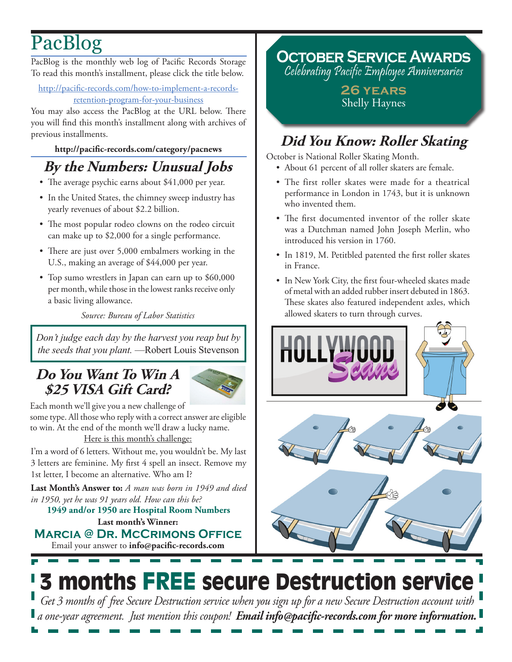# PacBlog

PacBlog is the monthly web log of Pacific Records Storage To read this month's installment, please click the title below.

http://pacific-records.com/how-to-implement-a-recordsretention-program-for-your-business

You may also access the PacBlog at the URL below. There you will find this month's installment along with archives of previous installments.

#### **<http://pacific-records.com/category/pacnews>**

## **By the Numbers: Unusual Jobs**

- The average psychic earns about \$41,000 per year.
- In the United States, the chimney sweep industry has yearly revenues of about \$2.2 billion.
- The most popular rodeo clowns on the rodeo circuit can make up to \$2,000 for a single performance.
- There are just over 5,000 embalmers working in the U.S., making an average of \$44,000 per year.
- Top sumo wrestlers in Japan can earn up to \$60,000 per month, while those in the lowest ranks receive only a basic living allowance.

*Source: Bureau of Labor Statistics*

*Don't judge each day by the harvest you reap but by the seeds that you plant.* —Robert Louis Stevenson

### **Do You Want To Win A \$25 VISA Gift Card?**



Each month we'll give you a new challenge of some type. All those who reply with a correct answer are eligible to win. At the end of the month we'll draw a lucky name. Here is this month's challenge:

I'm a word of 6 letters. Without me, you wouldn't be. My last 3 letters are feminine. My first 4 spell an insect. Remove my 1st letter, I become an alternative. Who am I?

**Last Month's Answer to:** *A man was born in 1949 and died in 1950, yet he was 91 years old. How can this be?*

**Last month's Winner: 1949 and/or 1950 are Hospital Room Numbers**

Email your answer to **info@pacific-records.com Marcia @ Dr. McCrimons Office** **October Service Awards**

Celebrating Pacific Employee Anniversaries

**26 years** Shelly Haynes

## **Did You Know: Roller Skating**

October is National Roller Skating Month.

- About 61 percent of all roller skaters are female.
- The first roller skates were made for a theatrical performance in London in 1743, but it is unknown who invented them.
- The first documented inventor of the roller skate was a Dutchman named John Joseph Merlin, who introduced his version in 1760.
- In 1819, M. Petitbled patented the first roller skates in France.
- In New York City, the first four-wheeled skates made of metal with an added rubber insert debuted in 1863. These skates also featured independent axles, which allowed skaters to turn through curves.



# 3 months FREE secure Destruction service

*Get 3 months of free Secure Destruction service when you sign up for a new Secure Destruction account with a one-year agreement. Just mention this coupon! Email info@pacific-records.com for more information.*